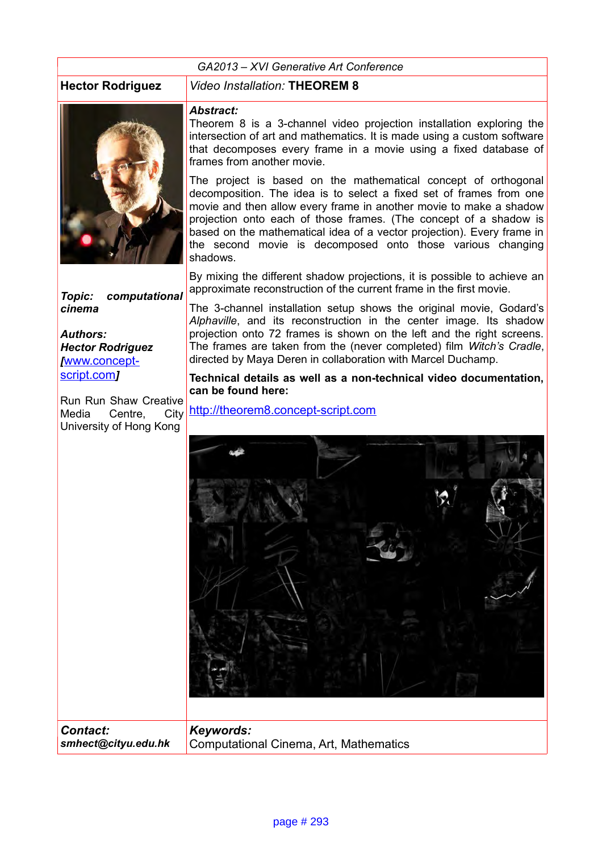#### *GA2013 – XVI Generative Art Conference*



#### **Hector Rodriguez** *Video Installation:* **THEOREM 8**

#### *Abstract:*

Theorem 8 is a 3-channel video projection installation exploring the intersection of art and mathematics. It is made using a custom software that decomposes every frame in a movie using a fixed database of frames from another movie.

The project is based on the mathematical concept of orthogonal decomposition. The idea is to select a fixed set of frames from one movie and then allow every frame in another movie to make a shadow projection onto each of those frames. (The concept of a shadow is based on the mathematical idea of a vector projection). Every frame in the second movie is decomposed onto those various changing shadows.

By mixing the different shadow projections, it is possible to achieve an approximate reconstruction of the current frame in the first movie.

*Topic: computational cinema*

*Authors: Hector Rodriguez [*[www.concept](http://www.concept-script.com/)[script.com](http://www.concept-script.com/)*]*

*Contact:*

Run Run Shaw Creative<br>Media Centre. City Centre, City University of Hong Kong

The 3-channel installation setup shows the original movie, Godard's *Alphaville*, and its reconstruction in the center image. Its shadow projection onto 72 frames is shown on the left and the right screens. The frames are taken from the (never completed) film *Witch's Cradle*, directed by Maya Deren in collaboration with Marcel Duchamp.

**Technical details as well as a non-technical video documentation, can be found here:**

[http://theorem8.concept-script.com](http://theorem8.concept-script.com/)



*smhect@cityu.edu.hk* Computational Cinema, Art, Mathematics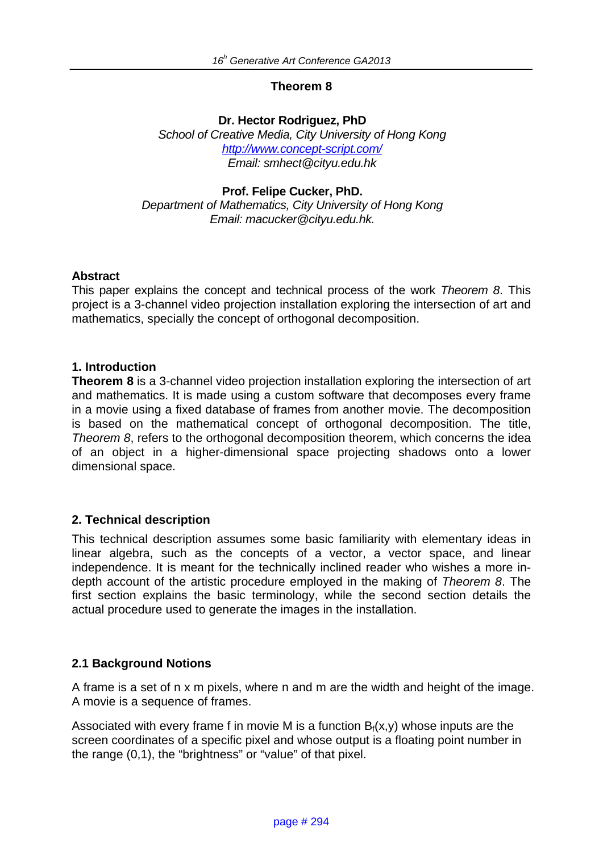# **Theorem 8**

#### **Dr. Hector Rodriguez, PhD**

*School of Creative Media, City University of Hong Kong http://www.concept-script.com/ Email: smhect@cityu.edu.hk* 

# **Prof. Felipe Cucker, PhD.**

*Department of Mathematics, City University of Hong Kong Email: macucker@cityu.edu.hk.* 

#### **Abstract**

This paper explains the concept and technical process of the work *Theorem 8*. This project is a 3-channel video projection installation exploring the intersection of art and mathematics, specially the concept of orthogonal decomposition.

# **1. Introduction**

**Theorem 8** is a 3-channel video projection installation exploring the intersection of art and mathematics. It is made using a custom software that decomposes every frame in a movie using a fixed database of frames from another movie. The decomposition is based on the mathematical concept of orthogonal decomposition. The title, *Theorem 8*, refers to the orthogonal decomposition theorem, which concerns the idea of an object in a higher-dimensional space projecting shadows onto a lower dimensional space.

# **2. Technical description**

This technical description assumes some basic familiarity with elementary ideas in linear algebra, such as the concepts of a vector, a vector space, and linear independence. It is meant for the technically inclined reader who wishes a more indepth account of the artistic procedure employed in the making of *Theorem 8*. The first section explains the basic terminology, while the second section details the actual procedure used to generate the images in the installation.

# **2.1 Background Notions**

A frame is a set of n x m pixels, where n and m are the width and height of the image. A movie is a sequence of frames.

Associated with every frame f in movie M is a function  $B_f(x,y)$  whose inputs are the screen coordinates of a specific pixel and whose output is a floating point number in the range (0,1), the "brightness" or "value" of that pixel.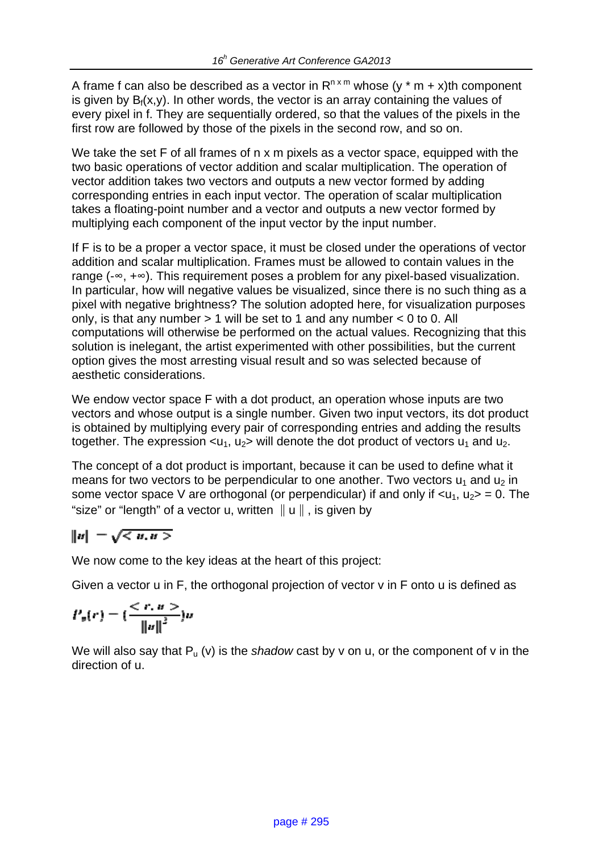A frame f can also be described as a vector in  $R^{n \times m}$  whose (y \* m + x)th component is given by  $B_f(x,y)$ . In other words, the vector is an array containing the values of every pixel in f. They are sequentially ordered, so that the values of the pixels in the first row are followed by those of the pixels in the second row, and so on.

We take the set F of all frames of n x m pixels as a vector space, equipped with the two basic operations of vector addition and scalar multiplication. The operation of vector addition takes two vectors and outputs a new vector formed by adding corresponding entries in each input vector. The operation of scalar multiplication takes a floating-point number and a vector and outputs a new vector formed by multiplying each component of the input vector by the input number.

If F is to be a proper a vector space, it must be closed under the operations of vector addition and scalar multiplication. Frames must be allowed to contain values in the range (-∞, +∞). This requirement poses a problem for any pixel-based visualization. In particular, how will negative values be visualized, since there is no such thing as a pixel with negative brightness? The solution adopted here, for visualization purposes only, is that any number  $> 1$  will be set to 1 and any number  $< 0$  to 0. All computations will otherwise be performed on the actual values. Recognizing that this solution is inelegant, the artist experimented with other possibilities, but the current option gives the most arresting visual result and so was selected because of aesthetic considerations.

We endow vector space F with a dot product, an operation whose inputs are two vectors and whose output is a single number. Given two input vectors, its dot product is obtained by multiplying every pair of corresponding entries and adding the results together. The expression  $\langle u_1, u_2 \rangle$  will denote the dot product of vectors  $u_1$  and  $u_2$ .

The concept of a dot product is important, because it can be used to define what it means for two vectors to be perpendicular to one another. Two vectors  $u_1$  and  $u_2$  in some vector space V are orthogonal (or perpendicular) if and only if  $\langle u_1, u_2 \rangle = 0$ . The "size" or "length" of a vector u, written ∥u∥, is given by

$$
||u|| = \sqrt{}
$$

We now come to the key ideas at the heart of this project:

Given a vector u in F, the orthogonal projection of vector v in F onto u is defined as

$$
P_n(r) = \left(\frac{}{\|u\|^2}\right)u
$$

We will also say that  $P_u(v)$  is the *shadow* cast by v on u, or the component of v in the direction of u.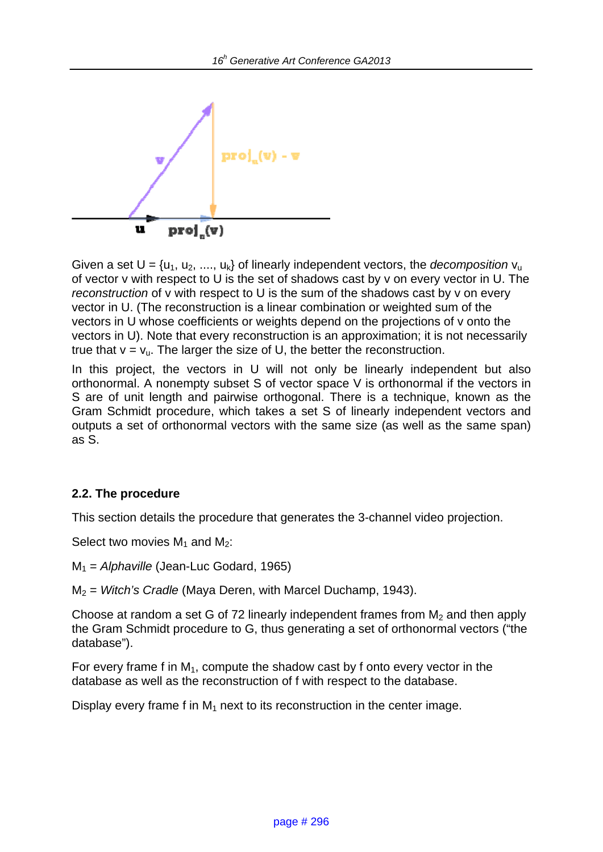

Given a set  $U = \{u_1, u_2, ..., u_k\}$  of linearly independent vectors, the *decomposition*  $v_u$ of vector v with respect to U is the set of shadows cast by v on every vector in U. The *reconstruction* of v with respect to U is the sum of the shadows cast by v on every vector in U. (The reconstruction is a linear combination or weighted sum of the vectors in U whose coefficients or weights depend on the projections of v onto the vectors in U). Note that every reconstruction is an approximation; it is not necessarily true that  $v = v_u$ . The larger the size of U, the better the reconstruction.

In this project, the vectors in U will not only be linearly independent but also orthonormal. A nonempty subset S of vector space V is orthonormal if the vectors in S are of unit length and pairwise orthogonal. There is a technique, known as the Gram Schmidt procedure, which takes a set S of linearly independent vectors and outputs a set of orthonormal vectors with the same size (as well as the same span) as S.

# **2.2. The procedure**

This section details the procedure that generates the 3-channel video projection.

Select two movies  $M_1$  and  $M_2$ :

M1 = *Alphaville* (Jean-Luc Godard, 1965)

M2 = *Witch's Cradle* (Maya Deren, with Marcel Duchamp, 1943).

Choose at random a set G of 72 linearly independent frames from  $M<sub>2</sub>$  and then apply the Gram Schmidt procedure to G, thus generating a set of orthonormal vectors ("the database").

For every frame f in  $M_1$ , compute the shadow cast by f onto every vector in the database as well as the reconstruction of f with respect to the database.

Display every frame f in  $M_1$  next to its reconstruction in the center image.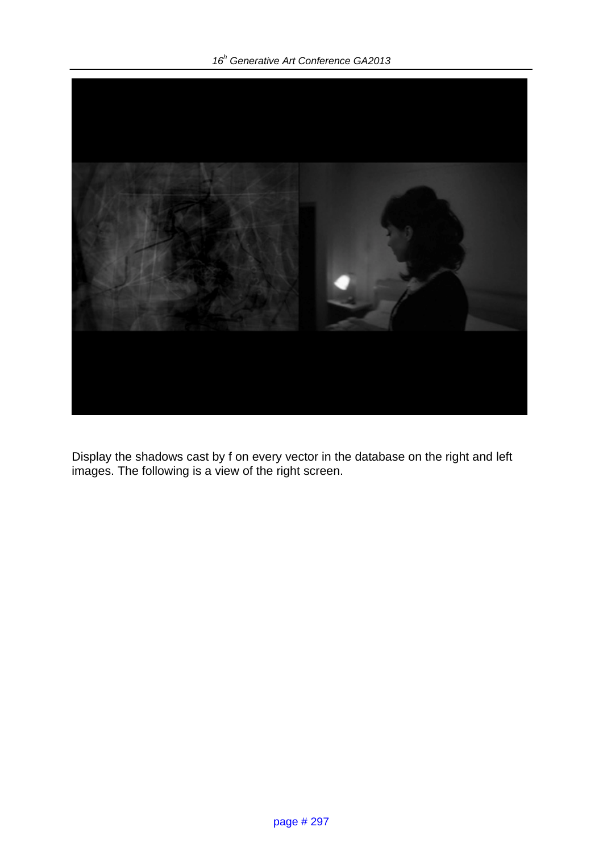*16<sup>h</sup> Generative Art Conference GA2013* 



Display the shadows cast by f on every vector in the database on the right and left images. The following is a view of the right screen.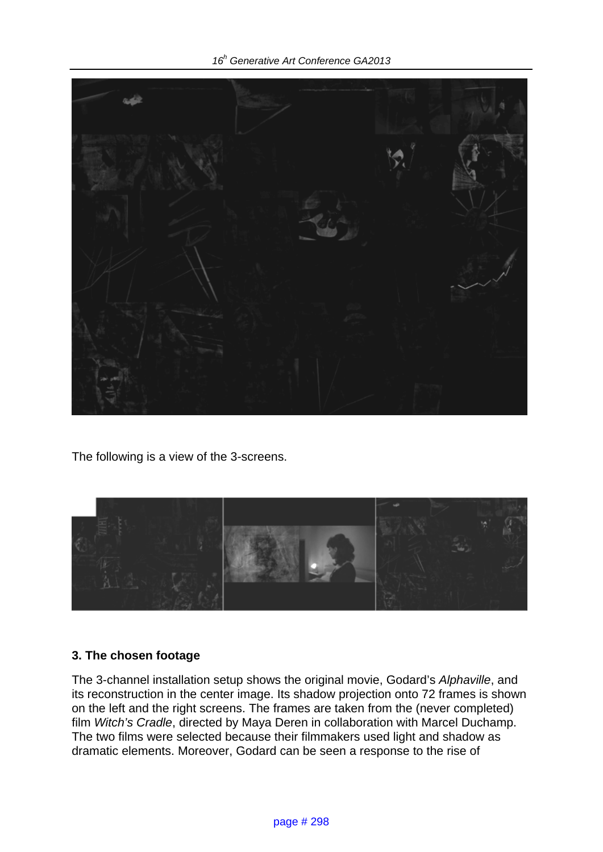*16<sup>h</sup> Generative Art Conference GA2013* 



The following is a view of the 3-screens.



# **3. The chosen footage**

The 3-channel installation setup shows the original movie, Godard's *Alphaville*, and its reconstruction in the center image. Its shadow projection onto 72 frames is shown on the left and the right screens. The frames are taken from the (never completed) film *Witch's Cradle*, directed by Maya Deren in collaboration with Marcel Duchamp. The two films were selected because their filmmakers used light and shadow as dramatic elements. Moreover, Godard can be seen a response to the rise of